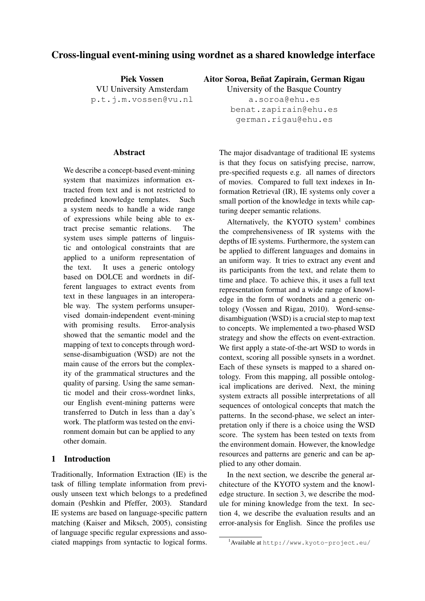# Cross-lingual event-mining using wordnet as a shared knowledge interface

Piek Vossen VU University Amsterdam p.t.j.m.vossen@vu.nl

#### Abstract

We describe a concept-based event-mining system that maximizes information extracted from text and is not restricted to predefined knowledge templates. Such a system needs to handle a wide range of expressions while being able to extract precise semantic relations. The system uses simple patterns of linguistic and ontological constraints that are applied to a uniform representation of the text. It uses a generic ontology based on DOLCE and wordnets in different languages to extract events from text in these languages in an interoperable way. The system performs unsupervised domain-independent event-mining with promising results. Error-analysis showed that the semantic model and the mapping of text to concepts through wordsense-disambiguation (WSD) are not the main cause of the errors but the complexity of the grammatical structures and the quality of parsing. Using the same semantic model and their cross-wordnet links, our English event-mining patterns were transferred to Dutch in less than a day's work. The platform was tested on the environment domain but can be applied to any other domain.

### 1 Introduction

Traditionally, Information Extraction (IE) is the task of filling template information from previously unseen text which belongs to a predefined domain (Peshkin and Pfeffer, 2003). Standard IE systems are based on language-specific pattern matching (Kaiser and Miksch, 2005), consisting of language specific regular expressions and associated mappings from syntactic to logical forms.

Aitor Soroa, Beñat Zapirain, German Rigau

University of the Basque Country a.soroa@ehu.es benat.zapirain@ehu.es german.rigau@ehu.es

The major disadvantage of traditional IE systems is that they focus on satisfying precise, narrow, pre-specified requests e.g. all names of directors of movies. Compared to full text indexes in Information Retrieval (IR), IE systems only cover a small portion of the knowledge in texts while capturing deeper semantic relations.

Alternatively, the KYOTO system $1$  combines the comprehensiveness of IR systems with the depths of IE systems. Furthermore, the system can be applied to different languages and domains in an uniform way. It tries to extract any event and its participants from the text, and relate them to time and place. To achieve this, it uses a full text representation format and a wide range of knowledge in the form of wordnets and a generic ontology (Vossen and Rigau, 2010). Word-sensedisambiguation (WSD) is a crucial step to map text to concepts. We implemented a two-phased WSD strategy and show the effects on event-extraction. We first apply a state-of-the-art WSD to words in context, scoring all possible synsets in a wordnet. Each of these synsets is mapped to a shared ontology. From this mapping, all possible ontological implications are derived. Next, the mining system extracts all possible interpretations of all sequences of ontological concepts that match the patterns. In the second-phase, we select an interpretation only if there is a choice using the WSD score. The system has been tested on texts from the environment domain. However, the knowledge resources and patterns are generic and can be applied to any other domain.

In the next section, we describe the general architecture of the KYOTO system and the knowledge structure. In section 3, we describe the module for mining knowledge from the text. In section 4, we describe the evaluation results and an error-analysis for English. Since the profiles use

<sup>1</sup>Available at http://www.kyoto-project.eu/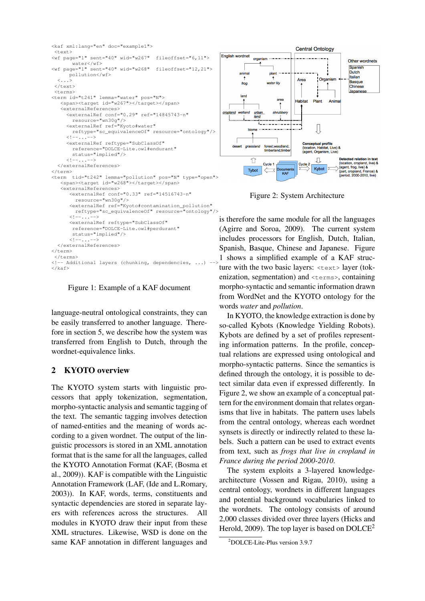

Figure 1: Example of a KAF document

language-neutral ontological constraints, they can be easily transferred to another language. Therefore in section 5, we describe how the system was transferred from English to Dutch, through the wordnet-equivalence links.

### 2 KYOTO overview

The KYOTO system starts with linguistic processors that apply tokenization, segmentation, morpho-syntactic analysis and semantic tagging of the text. The semantic tagging involves detection of named-entities and the meaning of words according to a given wordnet. The output of the linguistic processors is stored in an XML annotation format that is the same for all the languages, called the KYOTO Annotation Format (KAF, (Bosma et al., 2009)). KAF is compatible with the Linguistic Annotation Framework (LAF, (Ide and L.Romary, 2003)). In KAF, words, terms, constituents and syntactic dependencies are stored in separate layers with references across the structures. All modules in KYOTO draw their input from these XML structures. Likewise, WSD is done on the same KAF annotation in different languages and



Figure 2: System Architecture

is therefore the same module for all the languages (Agirre and Soroa, 2009). The current system includes processors for English, Dutch, Italian, Spanish, Basque, Chinese and Japanese. Figure 1 shows a simplified example of a KAF structure with the two basic layers: <text> layer (tokenization, segmentation) and <terms>, containing morpho-syntactic and semantic information drawn from WordNet and the KYOTO ontology for the words *water* and *pollution*.

In KYOTO, the knowledge extraction is done by so-called Kybots (Knowledge Yielding Robots). Kybots are defined by a set of profiles representing information patterns. In the profile, conceptual relations are expressed using ontological and morpho-syntactic patterns. Since the semantics is defined through the ontology, it is possible to detect similar data even if expressed differently. In Figure 2, we show an example of a conceptual pattern for the environment domain that relates organisms that live in habitats. The pattern uses labels from the central ontology, whereas each wordnet synsets is directly or indirectly related to these labels. Such a pattern can be used to extract events from text, such as *frogs that live in cropland in France during the period 2000-2010*.

The system exploits a 3-layered knowledgearchitecture (Vossen and Rigau, 2010), using a central ontology, wordnets in different languages and potential background vocabularies linked to the wordnets. The ontology consists of around 2,000 classes divided over three layers (Hicks and Herold, 2009). The top layer is based on  $DOLCE<sup>2</sup>$ 

<sup>2</sup>DOLCE-Lite-Plus version 3.9.7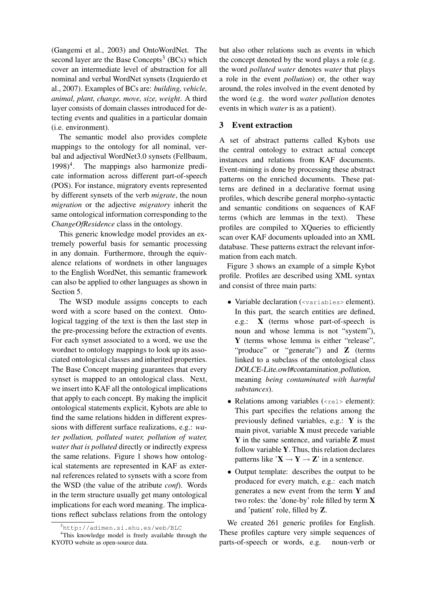(Gangemi et al., 2003) and OntoWordNet. The second layer are the Base Concepts<sup>3</sup> (BCs) which cover an intermediate level of abstraction for all nominal and verbal WordNet synsets (Izquierdo et al., 2007). Examples of BCs are: *building, vehicle, animal, plant, change, move, size, weight*. A third layer consists of domain classes introduced for detecting events and qualities in a particular domain (i.e. environment).

The semantic model also provides complete mappings to the ontology for all nominal, verbal and adjectival WordNet3.0 synsets (Fellbaum,  $1998)^4$ . . The mappings also harmonize predicate information across different part-of-speech (POS). For instance, migratory events represented by different synsets of the verb *migrate*, the noun *migration* or the adjective *migratory* inherit the same ontological information corresponding to the *ChangeOfResidence* class in the ontology.

This generic knowledge model provides an extremely powerful basis for semantic processing in any domain. Furthermore, through the equivalence relations of wordnets in other languages to the English WordNet, this semantic framework can also be applied to other languages as shown in Section 5.

The WSD module assigns concepts to each word with a score based on the context. Ontological tagging of the text is then the last step in the pre-processing before the extraction of events. For each synset associated to a word, we use the wordnet to ontology mappings to look up its associated ontological classes and inherited properties. The Base Concept mapping guarantees that every synset is mapped to an ontological class. Next, we insert into KAF all the ontological implications that apply to each concept. By making the implicit ontological statements explicit, Kybots are able to find the same relations hidden in different expressions with different surface realizations, e.g.: *water pollution, polluted water, pollution of water, water that is polluted* directly or indirectly express the same relations. Figure 1 shows how ontological statements are represented in KAF as external references related to synsets with a score from the WSD (the value of the atribute *conf*). Words in the term structure usually get many ontological implications for each word meaning. The implications reflect subclass relations from the ontology but also other relations such as events in which the concept denoted by the word plays a role (e.g. the word *polluted water* denotes *water* that plays a role in the event *pollution*) or, the other way around, the roles involved in the event denoted by the word (e.g. the word *water pollution* denotes events in which *water* is as a patient).

#### 3 Event extraction

A set of abstract patterns called Kybots use the central ontology to extract actual concept instances and relations from KAF documents. Event-mining is done by processing these abstract patterns on the enriched documents. These patterns are defined in a declarative format using profiles, which describe general morpho-syntactic and semantic conditions on sequences of KAF terms (which are lemmas in the text). These profiles are compiled to XQueries to efficiently scan over KAF documents uploaded into an XML database. These patterns extract the relevant information from each match.

Figure 3 shows an example of a simple Kybot profile. Profiles are described using XML syntax and consist of three main parts:

- Variable declaration (<variables> element). In this part, the search entities are defined, e.g.: X (terms whose part-of-speech is noun and whose lemma is not "system"), Y (terms whose lemma is either "release", "produce" or "generate") and **Z** (terms linked to a subclass of the ontological class DOLCE-Lite.owl#contamination pollution, meaning *being contaminated with harmful substances*).
- Relations among variables  $(\langle$ rel> element): This part specifies the relations among the previously defined variables, e.g.: Y is the main pivot, variable X must precede variable Y in the same sentence, and variable Z must follow variable Y. Thus, this relation declares patterns like  $X \rightarrow Y \rightarrow Z'$  in a sentence.
- Output template: describes the output to be produced for every match, e.g.: each match generates a new event from the term  $Y$  and two roles: the 'done-by' role filled by term X and 'patient' role, filled by Z.

We created 261 generic profiles for English. These profiles capture very simple sequences of parts-of-speech or words, e.g. noun-verb or

<sup>3</sup>http://adimen.si.ehu.es/web/BLC

<sup>4</sup>This knowledge model is freely available through the KYOTO website as open-source data.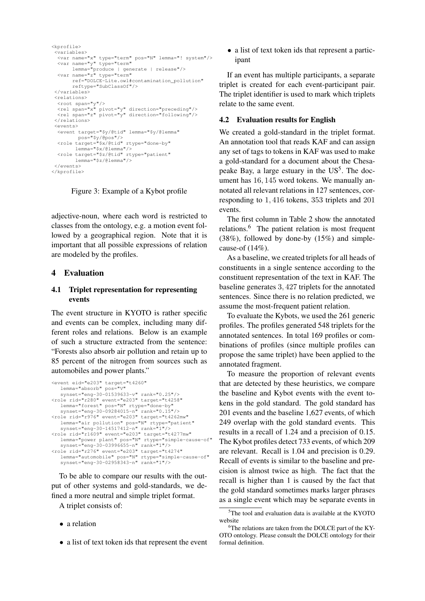```
<kprofile>
 <variables>
  <var name="x" type="term" pos="N" lemma="! system"/>
  <var name="y" type="term"
lemma="produce | generate | release"/>
<var name="z" type="term"
        ref="DOLCE-Lite.owl#contamination_pollution"
        reftype="SubClassOf"/>
 </variables>
 <relations>
  <root span="y"/>
  <rel span="x" pivot="y" direction="preceding"/>
<rel span="z" pivot="y" direction="following"/>
 </relations>
 <events>
  <event target="$y/@tid" lemma="$y/@lemma"
         pos="$y/@pos"/>
  <role target="$x/@tid" rtype="done-by"
         lemma="$x/@lemma"/>
  <role target="$z/@tid" rtype="patient"
         lemma="$z/@lemma"/>
</events>
</kprofile>
```
Figure 3: Example of a Kybot profile

adjective-noun, where each word is restricted to classes from the ontology, e.g. a motion event followed by a geographical region. Note that it is important that all possible expressions of relation are modeled by the profiles.

### 4 Evaluation

### 4.1 Triplet representation for representing events

The event structure in KYOTO is rather specific and events can be complex, including many different roles and relations. Below is an example of such a structure extracted from the sentence: "Forests also absorb air pollution and retain up to 85 percent of the nitrogen from sources such as automobiles and power plants."

```
<event eid="e203" target="t4260"
    lemma="absorb" pos="V"
    synset="eng-30-01539633-v" rank="0.25"/>
<role rid="r280" event="e203" target="t4258"
lemma="forest" pos="N" rtype="done-by"
synset="eng-30-09284015-n" rank="0.15"/>
<role rid="r976" event="e203" target="t4262mw"
   lemma="air pollution" pos="N" rtype="patient"
synset="eng-30-14517412-n" rank="1"/>
<role rid="r1609" event="e203" target="t4277mw"
lemma="power plant" pos="N" rtype="simple-cause-of"
synset="eng-30-03996655-n" rank="1"/>
<role rid="r276" event="e203" target="t4274"
    lemma="automobile" pos="N" rtype="simple-cause-of"
    synset="eng-30-02958343-n" rank="1"/>
```
To be able to compare our results with the output of other systems and gold-standards, we defined a more neutral and simple triplet format.

A triplet consists of:

- a relation
- a list of text token ids that represent the event

• a list of text token ids that represent a participant

If an event has multiple participants, a separate triplet is created for each event-participant pair. The triplet identifier is used to mark which triplets relate to the same event.

### 4.2 Evaluation results for English

We created a gold-standard in the triplet format. An annotation tool that reads KAF and can assign any set of tags to tokens in KAF was used to make a gold-standard for a document about the Chesapeake Bay, a large estuary in the  $US^5$ . The document has 16, 145 word tokens. We manually annotated all relevant relations in 127 sentences, corresponding to 1, 416 tokens, 353 triplets and 201 events.

The first column in Table 2 show the annotated relations.<sup>6</sup> The patient relation is most frequent  $(38\%)$ , followed by done-by  $(15\%)$  and simplecause-of (14%).

As a baseline, we created triplets for all heads of constituents in a single sentence according to the constituent representation of the text in KAF. The baseline generates 3, 427 triplets for the annotated sentences. Since there is no relation predicted, we assume the most-frequent patient relation.

To evaluate the Kybots, we used the 261 generic profiles. The profiles generated 548 triplets for the annotated sentences. In total 169 profiles or combinations of profiles (since multiple profiles can propose the same triplet) have been applied to the annotated fragment.

To measure the proportion of relevant events that are detected by these heuristics, we compare the baseline and Kybot events with the event tokens in the gold standard. The gold standard has 201 events and the baseline 1,627 events, of which 249 overlap with the gold standard events. This results in a recall of 1.24 and a precision of 0.15. The Kybot profiles detect 733 events, of which 209 are relevant. Recall is 1.04 and precision is 0.29. Recall of events is similar to the baseline and precision is almost twice as high. The fact that the recall is higher than 1 is caused by the fact that the gold standard sometimes marks larger phrases as a single event which may be separate events in

<sup>&</sup>lt;sup>5</sup>The tool and evaluation data is available at the KYOTO website

<sup>&</sup>lt;sup>6</sup>The relations are taken from the DOLCE part of the KY-OTO ontology. Please consult the DOLCE ontology for their formal definition.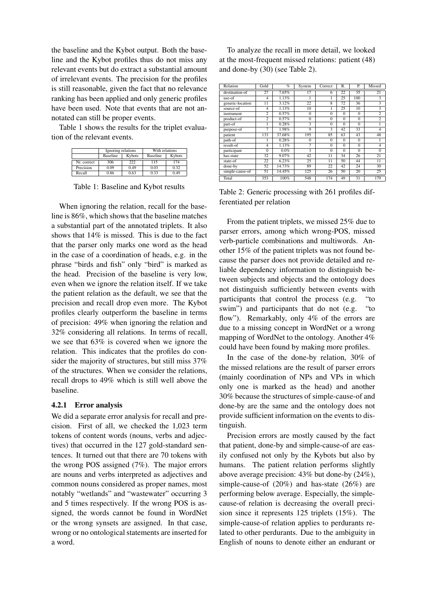the baseline and the Kybot output. Both the baseline and the Kybot profiles thus do not miss any relevant events but do extract a substantial amount of irrelevant events. The precision for the profiles is still reasonable, given the fact that no relevance ranking has been applied and only generic profiles have been used. Note that events that are not annotated can still be proper events.

Table 1 shows the results for the triplet evaluation of the relevant events.

|             | Ignoring relations |        | With relations  |        |  |
|-------------|--------------------|--------|-----------------|--------|--|
|             | Baseline           | Kybots | <b>Baseline</b> | Kybots |  |
| Nr. correct | 306                | 222    | 115             | 174    |  |
| Precision   | 0.09               | 0.49   | 0.03            | 0.32   |  |
| Recall      | 0.86               | 0.63   | 0.33            | 0.49   |  |

Table 1: Baseline and Kybot results

When ignoring the relation, recall for the baseline is 86%, which shows that the baseline matches a substantial part of the annotated triplets. It also shows that 14% is missed. This is due to the fact that the parser only marks one word as the head in the case of a coordination of heads, e.g. in the phrase "birds and fish" only "bird" is marked as the head. Precision of the baseline is very low, even when we ignore the relation itself. If we take the patient relation as the default, we see that the precision and recall drop even more. The Kybot profiles clearly outperform the baseline in terms of precision: 49% when ignoring the relation and 32% considering all relations. In terms of recall, we see that 63% is covered when we ignore the relation. This indicates that the profiles do consider the majority of structures, but still miss 37% of the structures. When we consider the relations, recall drops to 49% which is still well above the baseline.

### 4.2.1 Error analysis

We did a separate error analysis for recall and precision. First of all, we checked the 1,023 term tokens of content words (nouns, verbs and adjectives) that occurred in the 127 gold-standard sentences. It turned out that there are 70 tokens with the wrong POS assigned (7%). The major errors are nouns and verbs interpreted as adjectives and common nouns considered as proper names, most notably "wetlands" and "wastewater" occurring 3 and 5 times respectively. If the wrong POS is assigned, the words cannot be found in WordNet or the wrong synsets are assigned. In that case, wrong or no ontological statements are inserted for a word.

To analyze the recall in more detail, we looked at the most-frequent missed relations: patient (48) and done-by (30) (see Table 2).

| Relation         | Gold           | $\%$    | System         | Correct                 | R.             | P.             | Missed          |
|------------------|----------------|---------|----------------|-------------------------|----------------|----------------|-----------------|
| destination-of   | 27             | 7.65%   | 17             | 6                       | 22             | 35             | 21              |
| use-of           | $\overline{4}$ | 1.13%   |                | 1                       | 25             | 100            | 3               |
| generic-location | 11             | 3.12%   | 22             | 8                       | 72             | 36             | 3               |
| source-of        | $\overline{4}$ | 1.13%   | 10             | 1                       | 25             | 10             | 3               |
| instrument       | $\overline{2}$ | 0.57%   | $\overline{0}$ | $\overline{0}$          | $\overline{0}$ | $\overline{0}$ | $\overline{2}$  |
| product-of       | $\overline{c}$ | 0.57%   | $\overline{0}$ | $\overline{0}$          | $\overline{0}$ | $\overline{0}$ | $\overline{c}$  |
| part-of          |                | 0.28%   | 3              | $\theta$                | $\theta$       | $\theta$       | 1               |
| purpose-of       | 7              | 1.98%   | 9              | $\overline{\mathbf{3}}$ | 42             | 33             | $\overline{4}$  |
| patient          | 133            | 37.68%  | 195            | 85                      | 63             | 43             | 48              |
| path-of          |                | 0.28%   | $\theta$       | $\theta$                | $\theta$       | $\Omega$       | 1               |
| $result-of$      | $\overline{4}$ | 1.13%   | 7              | $\overline{0}$          | $\overline{0}$ | $\overline{0}$ | $\overline{4}$  |
| participant      | $\Omega$       | $0.0\%$ | 3              | $\overline{0}$          | $\overline{0}$ | $\overline{0}$ | $\overline{0}$  |
| has-state        | 32             | 9.07%   | 42             | 11                      | 34             | 26             | 21              |
| state-of         | 22             | 6.23%   | 25             | $\overline{11}$         | 50             | 44             | $\overline{11}$ |
| done-by          | 52             | 14.73%  | 89             | 22                      | 42             | 24             | 30              |
| simple-cause-of  | 51             | 14.45%  | 125            | 26                      | 50             | 20             | 25              |
| Total            | 353            | 100%    | 548            | 174                     | 49             | 31             | 179             |

Table 2: Generic processing with 261 profiles differentiated per relation

From the patient triplets, we missed 25% due to parser errors, among which wrong-POS, missed verb-particle combinations and multiwords. Another 15% of the patient triplets was not found because the parser does not provide detailed and reliable dependency information to distinguish between subjects and objects and the ontology does not distinguish sufficiently between events with participants that control the process (e.g. "to swim") and participants that do not (e.g. "to flow"). Remarkably, only 4% of the errors are due to a missing concept in WordNet or a wrong mapping of WordNet to the ontology. Another 4% could have been found by making more profiles.

In the case of the done-by relation, 30% of the missed relations are the result of parser errors (mainly coordination of NPs and VPs in which only one is marked as the head) and another 30% because the structures of simple-cause-of and done-by are the same and the ontology does not provide sufficient information on the events to distinguish.

Precision errors are mostly caused by the fact that patient, done-by and simple-cause-of are easily confused not only by the Kybots but also by humans. The patient relation performs slightly above average precision: 43% but done-by (24%), simple-cause-of (20%) and has-state (26%) are performing below average. Especially, the simplecause-of relation is decreasing the overall precision since it represents 125 triplets (15%). The simple-cause-of relation applies to perdurants related to other perdurants. Due to the ambiguity in English of nouns to denote either an endurant or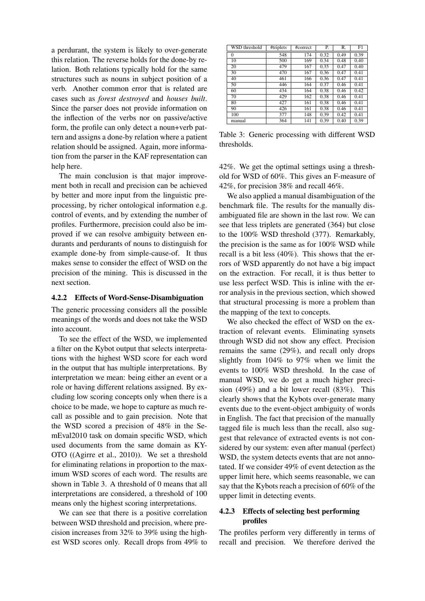a perdurant, the system is likely to over-generate this relation. The reverse holds for the done-by relation. Both relations typically hold for the same structures such as nouns in subject position of a verb. Another common error that is related are cases such as *forest destroyed* and *houses built*. Since the parser does not provide information on the inflection of the verbs nor on passive/active form, the profile can only detect a noun+verb pattern and assigns a done-by relation where a patient relation should be assigned. Again, more information from the parser in the KAF representation can help here.

The main conclusion is that major improvement both in recall and precision can be achieved by better and more input from the linguistic preprocessing, by richer ontological information e.g. control of events, and by extending the number of profiles. Furthermore, precision could also be improved if we can resolve ambiguity between endurants and perdurants of nouns to distinguish for example done-by from simple-cause-of. It thus makes sense to consider the effect of WSD on the precision of the mining. This is discussed in the next section.

#### 4.2.2 Effects of Word-Sense-Disambiguation

The generic processing considers all the possible meanings of the words and does not take the WSD into account.

To see the effect of the WSD, we implemented a filter on the Kybot output that selects interpretations with the highest WSD score for each word in the output that has multiple interpretations. By interpretation we mean: being either an event or a role or having different relations assigned. By excluding low scoring concepts only when there is a choice to be made, we hope to capture as much recall as possible and to gain precision. Note that the WSD scored a precision of 48% in the SemEval2010 task on domain specific WSD, which used documents from the same domain as KY-OTO ((Agirre et al., 2010)). We set a threshold for eliminating relations in proportion to the maximum WSD scores of each word. The results are shown in Table 3. A threshold of 0 means that all interpretations are considered, a threshold of 100 means only the highest scoring interpretations.

We can see that there is a positive correlation between WSD threshold and precision, where precision increases from 32% to 39% using the highest WSD scores only. Recall drops from 49% to

| WSD threshold   | #triplets | #correct | Р.   | R.   | F1   |
|-----------------|-----------|----------|------|------|------|
| 0               | 548       | 174      | 0.32 | 0.49 | 0.39 |
| $\overline{10}$ | 500       | 169      | 0.34 | 0.48 | 0.40 |
| 20              | 479       | 167      | 0.35 | 0.47 | 0.40 |
| 30              | 470       | 167      | 0.36 | 0.47 | 0.41 |
| 40              | 461       | 166      | 0.36 | 0.47 | 0.41 |
| 50              | 446       | 164      | 0.37 | 0.46 | 0.41 |
| 60              | 434       | 164      | 0.38 | 0.46 | 0.42 |
| 70              | 429       | 162      | 0.38 | 0.46 | 0.41 |
| 80              | 427       | 161      | 0.38 | 0.46 | 0.41 |
| 90              | 426       | 161      | 0.38 | 0.46 | 0.41 |
| 100             | 377       | 148      | 0.39 | 0.42 | 0.41 |
| manual          | 364       | 141      | 0.39 | 0.40 | 0.39 |

Table 3: Generic processing with different WSD thresholds.

42%. We get the optimal settings using a threshold for WSD of 60%. This gives an F-measure of 42%, for precision 38% and recall 46%.

We also applied a manual disambiguation of the benchmark file. The results for the manually disambiguated file are shown in the last row. We can see that less triplets are generated (364) but close to the 100% WSD threshold (377). Remarkably, the precision is the same as for 100% WSD while recall is a bit less (40%). This shows that the errors of WSD apparently do not have a big impact on the extraction. For recall, it is thus better to use less perfect WSD. This is inline with the error analysis in the previous section, which showed that structural processing is more a problem than the mapping of the text to concepts.

We also checked the effect of WSD on the extraction of relevant events. Eliminating synsets through WSD did not show any effect. Precision remains the same (29%), and recall only drops slightly from 104% to 97% when we limit the events to 100% WSD threshold. In the case of manual WSD, we do get a much higher precision (49%) and a bit lower recall (83%). This clearly shows that the Kybots over-generate many events due to the event-object ambiguity of words in English. The fact that precision of the manually tagged file is much less than the recall, also suggest that relevance of extracted events is not considered by our system: even after manual (perfect) WSD, the system detects events that are not annotated. If we consider 49% of event detection as the upper limit here, which seems reasonable, we can say that the Kybots reach a precision of 60% of the upper limit in detecting events.

### 4.2.3 Effects of selecting best performing profiles

The profiles perform very differently in terms of recall and precision. We therefore derived the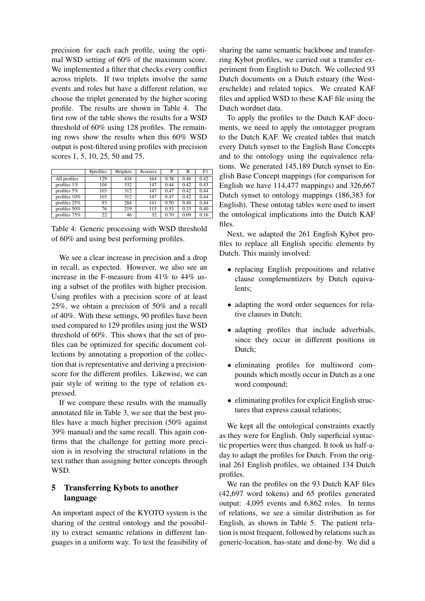precision for each each profile, using the optimal WSD setting of 60% of the maximum score. We implemented a filter that checks every conflict across triplets. If two triplets involve the same events and roles but have a different relation, we choose the triplet generated by the higher scoring profile. The results are shown in Table 4. The first row of the table shows the results for a WSD threshold of 60% using 128 profiles. The remaining rows show the results when this 60% WSD output is post-filtered using profiles with precision scores 1, 5, 10, 25, 50 and 75.

|                 | #profiles | #triplets | #correct | Р.   | R.   | F1   |
|-----------------|-----------|-----------|----------|------|------|------|
| All profiles    | 129       | 434       | 164      | 0.38 | 0.46 | 0.42 |
| profiles $1\%$  | 104       | 332       | 147      | 0.44 | 0.42 | 0.43 |
| profiles $5\%$  | 103       | 312       | 147      | 0.47 | 0.42 | 0.44 |
| profiles $10\%$ | 103       | 312       | 147      | 0.47 | 0.42 | 0.44 |
| profiles $25%$  | 93        | 284       | 141      | 0.50 | 0.40 | 0.44 |
| profiles $50\%$ | 76        | 219       | 115      | 0.53 | 0.33 | 0.40 |
| profiles $75%$  | 22        | 46        | 32       | 0.70 | 0.09 | 0.16 |

Table 4: Generic processing with WSD threshold of 60% and using best performing profiles.

We see a clear increase in precision and a drop in recall, as expected. However, we also see an increase in the F-measure from 41% to 44% using a subset of the profiles with higher precision. Using profiles with a precision score of at least 25%, we obtain a precision of 50% and a recall of 40%. With these settings, 90 profiles have been used compared to 129 profiles using just the WSD threshold of 60%. This shows that the set of profiles can be optimized for specific document collections by annotating a proportion of the collection that is representative and deriving a precisionscore for the different profiles. Likewise, we can pair style of writing to the type of relation expressed.

If we compare these results with the manually annotated file in Table 3, we see that the best profiles have a much higher precision (50% against 39% manual) and the same recall. This again confirms that the challenge for getting more precision is in resolving the structural relations in the text rather than assigning better concepts through WSD.

## 5 Transferring Kybots to another language

An important aspect of the KYOTO system is the sharing of the central ontology and the possibility to extract semantic relations in different languages in a uniform way. To test the feasibility of sharing the same semantic backbone and transferring Kybot profiles, we carried out a transfer experiment from English to Dutch. We collected 93 Dutch documents on a Dutch estuary (the Westerschelde) and related topics. We created KAF files and applied WSD to these KAF file using the Dutch wordnet data.

To apply the profiles to the Dutch KAF documents, we need to apply the ontotagger program to the Dutch KAF. We created tables that match every Dutch synset to the English Base Concepts and to the ontology using the equivalence relations. We generated 145,189 Dutch synset to English Base Concept mappings (for comparison for English we have 114,477 mappings) and 326,667 Dutch synset to ontology mappings (186,383 for English). These ontotag tables were used to insert the ontological implications into the Dutch KAF files.

Next, we adapted the 261 English Kybot profiles to replace all English specific elements by Dutch. This mainly involved:

- replacing English prepositions and relative clause complementizers by Dutch equivalents;
- adapting the word order sequences for relative clauses in Dutch;
- adapting profiles that include adverbials, since they occur in different positions in Dutch;
- eliminating profiles for multiword compounds which mostly occur in Dutch as a one word compound;
- eliminating profiles for explicit English structures that express causal relations;

We kept all the ontological constraints exactly as they were for English. Only superficial syntactic properties were thus changed. It took us half-aday to adapt the profiles for Dutch. From the original 261 English profiles, we obtained 134 Dutch profiles.

We ran the profiles on the 93 Dutch KAF files (42,697 word tokens) and 65 profiles generated output: 4,095 events and 6,862 roles. In terms of relations, we see a similar distribution as for English, as shown in Table 5. The patient relation is most frequent, followed by relations such as generic-location, has-state and done-by. We did a